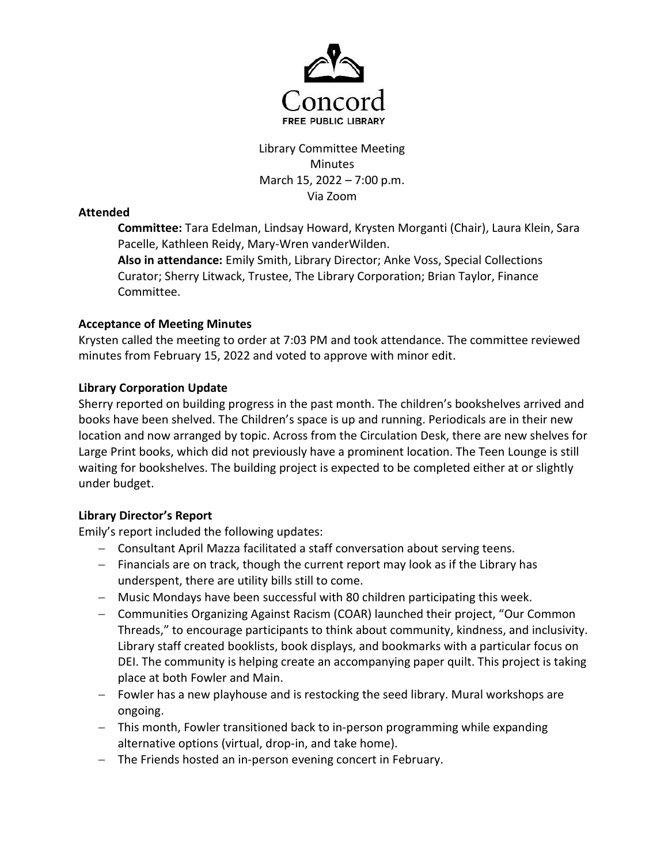

# Library Committee Meeting Minutes March 15, 2022 – 7:00 p.m. Via Zoom

# Attended

Committee: Tara Edelman, Lindsay Howard, Krysten Morganti (Chair), Laura Klein, Sara Pacelle, Kathleen Reidy, Mary-Wren vanderWilden.

Also in attendance: Emily Smith, Library Director; Anke Voss, Special Collections Curator; Sherry Litwack, Trustee, The Library Corporation; Brian Taylor, Finance Committee.

# Acceptance of Meeting Minutes

Krysten called the meeting to order at 7:03 PM and took attendance. The committee reviewed minutes from February 15, 2022 and voted to approve with minor edit.

# Library Corporation Update

Sherry reported on building progress in the past month. The children's bookshelves arrived and books have been shelved. The Children's space is up and running. Periodicals are in their new location and now arranged by topic. Across from the Circulation Desk, there are new shelves for Large Print books, which did not previously have a prominent location. The Teen Lounge is still waiting for bookshelves. The building project is expected to be completed either at or slightly under budget.

# Library Director's Report

Emily's report included the following updates:

- Consultant April Mazza facilitated a staff conversation about serving teens.
- $-$  Financials are on track, though the current report may look as if the Library has underspent, there are utility bills still to come.
- Music Mondays have been successful with 80 children participating this week.
- Communities Organizing Against Racism (COAR) launched their project, "Our Common Threads," to encourage participants to think about community, kindness, and inclusivity. Library staff created booklists, book displays, and bookmarks with a particular focus on DEI. The community is helping create an accompanying paper quilt. This project is taking place at both Fowler and Main.
- Fowler has a new playhouse and is restocking the seed library. Mural workshops are ongoing.
- This month, Fowler transitioned back to in-person programming while expanding alternative options (virtual, drop-in, and take home).
- The Friends hosted an in-person evening concert in February.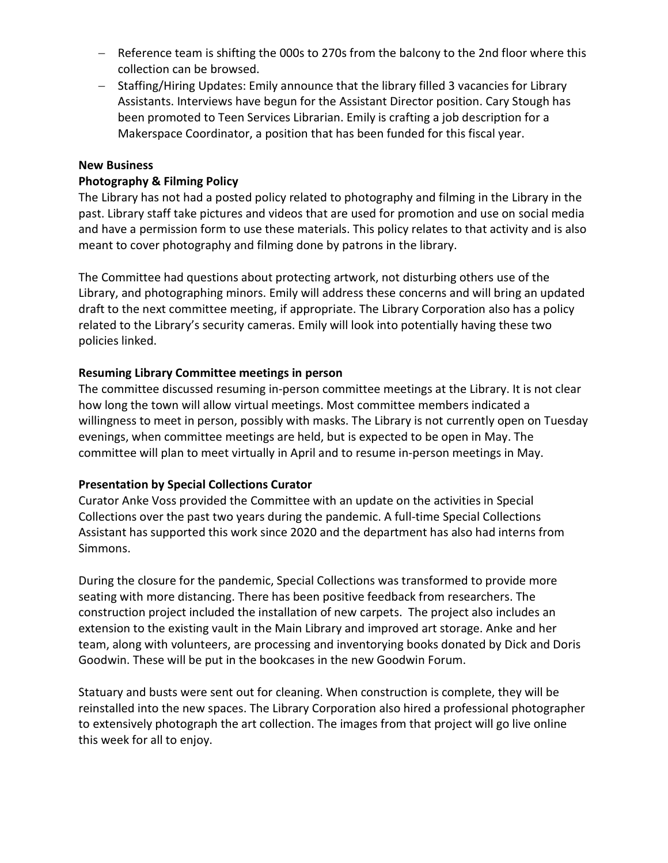- Reference team is shifting the 000s to 270s from the balcony to the 2nd floor where this collection can be browsed.
- Staffing/Hiring Updates: Emily announce that the library filled 3 vacancies for Library Assistants. Interviews have begun for the Assistant Director position. Cary Stough has been promoted to Teen Services Librarian. Emily is crafting a job description for a Makerspace Coordinator, a position that has been funded for this fiscal year.

### New Business

### Photography & Filming Policy

The Library has not had a posted policy related to photography and filming in the Library in the past. Library staff take pictures and videos that are used for promotion and use on social media and have a permission form to use these materials. This policy relates to that activity and is also meant to cover photography and filming done by patrons in the library.

The Committee had questions about protecting artwork, not disturbing others use of the Library, and photographing minors. Emily will address these concerns and will bring an updated draft to the next committee meeting, if appropriate. The Library Corporation also has a policy related to the Library's security cameras. Emily will look into potentially having these two policies linked.

### Resuming Library Committee meetings in person

The committee discussed resuming in-person committee meetings at the Library. It is not clear how long the town will allow virtual meetings. Most committee members indicated a willingness to meet in person, possibly with masks. The Library is not currently open on Tuesday evenings, when committee meetings are held, but is expected to be open in May. The committee will plan to meet virtually in April and to resume in-person meetings in May.

#### Presentation by Special Collections Curator

Curator Anke Voss provided the Committee with an update on the activities in Special Collections over the past two years during the pandemic. A full-time Special Collections Assistant has supported this work since 2020 and the department has also had interns from Simmons.

During the closure for the pandemic, Special Collections was transformed to provide more seating with more distancing. There has been positive feedback from researchers. The construction project included the installation of new carpets. The project also includes an extension to the existing vault in the Main Library and improved art storage. Anke and her team, along with volunteers, are processing and inventorying books donated by Dick and Doris Goodwin. These will be put in the bookcases in the new Goodwin Forum.

Statuary and busts were sent out for cleaning. When construction is complete, they will be reinstalled into the new spaces. The Library Corporation also hired a professional photographer to extensively photograph the art collection. The images from that project will go live online this week for all to enjoy.